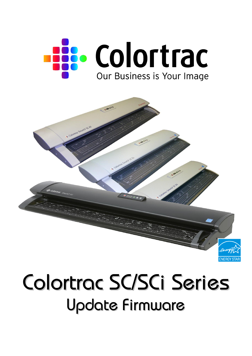

# Colortrac SC/SCi Series Update Firmware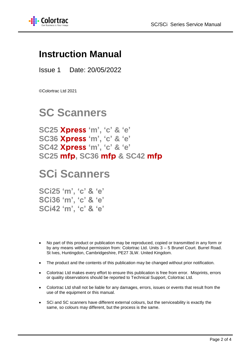

### **Instruction Manual**

Issue 1 Date: 20/05/2022

©Colortrac Ltd 2021

## **SC Scanners**

**SC25 Xpress 'm' , 'c' & 'e' SC36 Xpress 'm' , 'c' & 'e' SC42 Xpress 'm' , 'c' & 'e' SC25 mfp, SC36 mfp & SC42 mfp**

## **SCi Scanners**

**SCi25 'm', 'c' & 'e' SCi36 'm', 'c' & 'e' SCi42 'm', 'c' & 'e'**

- No part of this product or publication may be reproduced, copied or transmitted in any form or by any means without permission from: Colortrac Ltd. Units 3 – 5 Brunel Court. Burrel Road. St Ives, Huntingdon, Cambridgeshire, PE27 3LW. United Kingdom.
- The product and the contents of this publication may be changed without prior notification.
- Colortrac Ltd makes every effort to ensure this publication is free from error. Misprints, errors or quality observations should be reported to Technical Support, Colortrac Ltd.
- Colortrac Ltd shall not be liable for any damages, errors, issues or events that result from the use of the equipment or this manual.
- SCi and SC scanners have different external colours, but the serviceability is exactly the same, so colours may different, but the process is the same.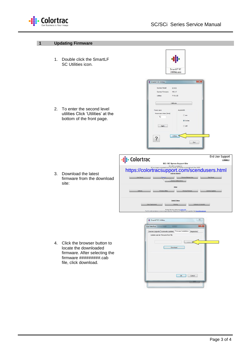

#### **1 Updating Firmware**

1. Double click the SmartLF SC Utilities icon.

2. To enter the second level utilities Click 'Utilities' at the bottom of the front page.

| SmartLF SC<br>Utilities.exe |
|-----------------------------|

| Scanner Model                 | SC42E            |      |
|-------------------------------|------------------|------|
| Scanner Firmware              | V00.17           |      |
| <b>Utilities</b>              | V: 0.1.22        |      |
|                               | Calibrate        |      |
| Power save                    | AutoWidth        |      |
| Power save timer (mins)<br>15 | o mm             |      |
|                               | O Inches         |      |
| Apply                         | © Off            |      |
|                               | <b>Utilities</b> |      |
| ?                             |                  |      |
|                               |                  | Exit |

- 3. Download the latest firmware from the download site:
- 8<br>
Connect (Utilities Driver) Oth Useful Videos  $\overline{\mathbb{Z}}$ -IL SmartLF SC Utilities

https://colortracsupport.com/scendusers.html

SCi / SC Xpress Support Site

-ii: Colortrac

4. Click the browser button to locate the downloaded firmware. After selecting the firmware #########.cab file, click download.



End User Support